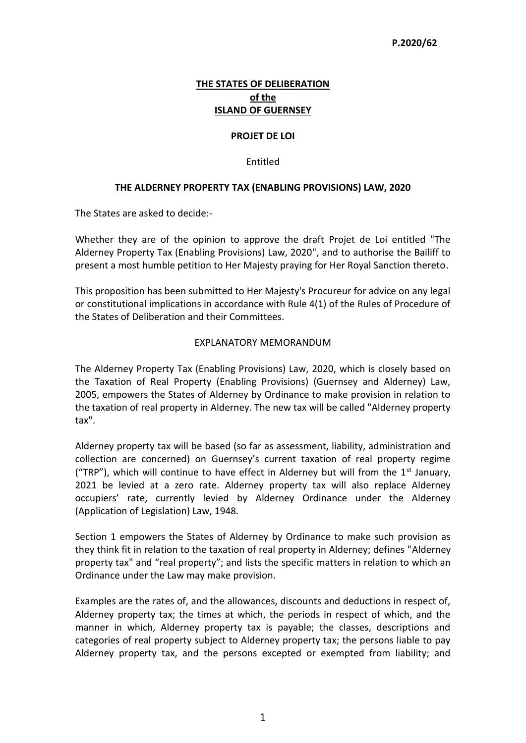## **P.2020/62**

# **THE STATES OF DELIBERATION of the ISLAND OF GUERNSEY**

#### **PROJET DE LOI**

#### Entitled

## **THE ALDERNEY PROPERTY TAX (ENABLING PROVISIONS) LAW, 2020**

The States are asked to decide:-

Whether they are of the opinion to approve the draft Projet de Loi entitled "The Alderney Property Tax (Enabling Provisions) Law, 2020", and to authorise the Bailiff to present a most humble petition to Her Majesty praying for Her Royal Sanction thereto.

This proposition has been submitted to Her Majesty's Procureur for advice on any legal or constitutional implications in accordance with Rule 4(1) of the Rules of Procedure of the States of Deliberation and their Committees.

#### EXPLANATORY MEMORANDUM

The Alderney Property Tax (Enabling Provisions) Law, 2020, which is closely based on the Taxation of Real Property (Enabling Provisions) (Guernsey and Alderney) Law, 2005, empowers the States of Alderney by Ordinance to make provision in relation to the taxation of real property in Alderney. The new tax will be called "Alderney property tax".

Alderney property tax will be based (so far as assessment, liability, administration and collection are concerned) on Guernsey's current taxation of real property regime ("TRP"), which will continue to have effect in Alderney but will from the  $1<sup>st</sup>$  January, 2021 be levied at a zero rate. Alderney property tax will also replace Alderney occupiers' rate, currently levied by Alderney Ordinance under the Alderney (Application of Legislation) Law, 1948.

Section 1 empowers the States of Alderney by Ordinance to make such provision as they think fit in relation to the taxation of real property in Alderney; defines "Alderney property tax" and "real property"; and lists the specific matters in relation to which an Ordinance under the Law may make provision.

Examples are the rates of, and the allowances, discounts and deductions in respect of, Alderney property tax; the times at which, the periods in respect of which, and the manner in which, Alderney property tax is payable; the classes, descriptions and categories of real property subject to Alderney property tax; the persons liable to pay Alderney property tax, and the persons excepted or exempted from liability; and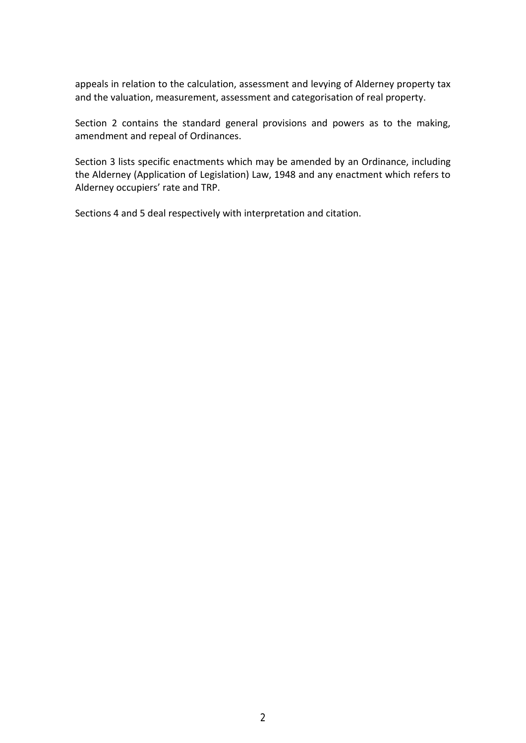appeals in relation to the calculation, assessment and levying of Alderney property tax and the valuation, measurement, assessment and categorisation of real property.

Section 2 contains the standard general provisions and powers as to the making, amendment and repeal of Ordinances.

Section 3 lists specific enactments which may be amended by an Ordinance, including the Alderney (Application of Legislation) Law, 1948 and any enactment which refers to Alderney occupiers' rate and TRP.

Sections 4 and 5 deal respectively with interpretation and citation.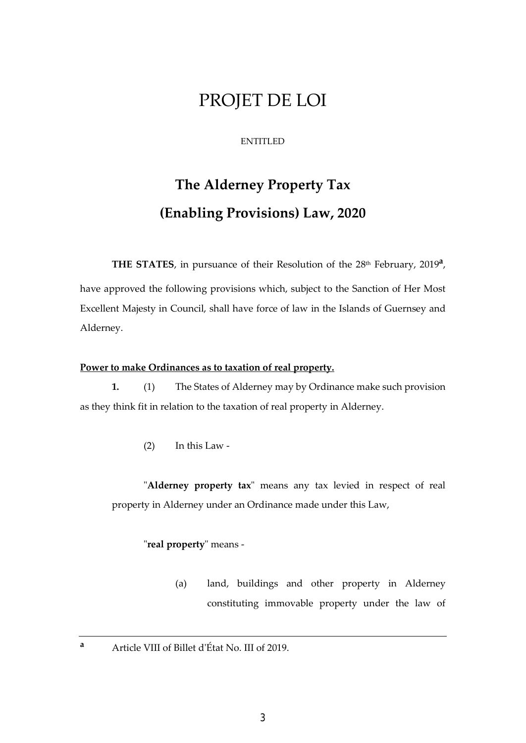# PROJET DE LOI

## ENTITLED

# **The Alderney Property Tax (Enabling Provisions) Law, 2020**

THE STATES, in pursuance of their Resolution of the 28<sup>th</sup> February, 2019<sup>a</sup>, have approved the following provisions which, subject to the Sanction of Her Most Excellent Majesty in Council, shall have force of law in the Islands of Guernsey and Alderney.

# **Power to make Ordinances as to taxation of real property.**

 **1.** (1) The States of Alderney may by Ordinance make such provision as they think fit in relation to the taxation of real property in Alderney.

(2) In this Law -

"**Alderney property tax**" means any tax levied in respect of real property in Alderney under an Ordinance made under this Law,

"**real property**" means -

(a) land, buildings and other property in Alderney constituting immovable property under the law of

**a**

Article VIII of Billet d'État No. III of 2019.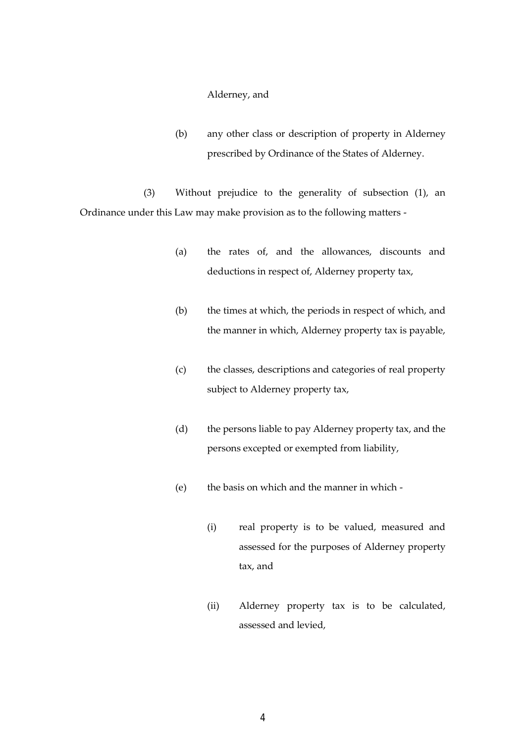Alderney, and

(b) any other class or description of property in Alderney prescribed by Ordinance of the States of Alderney.

 (3) Without prejudice to the generality of subsection (1), an Ordinance under this Law may make provision as to the following matters -

- (a) the rates of, and the allowances, discounts and deductions in respect of, Alderney property tax,
- (b) the times at which, the periods in respect of which, and the manner in which, Alderney property tax is payable,
- (c) the classes, descriptions and categories of real property subject to Alderney property tax,
- (d) the persons liable to pay Alderney property tax, and the persons excepted or exempted from liability,
- (e) the basis on which and the manner in which
	- (i) real property is to be valued, measured and assessed for the purposes of Alderney property tax, and
	- (ii) Alderney property tax is to be calculated, assessed and levied,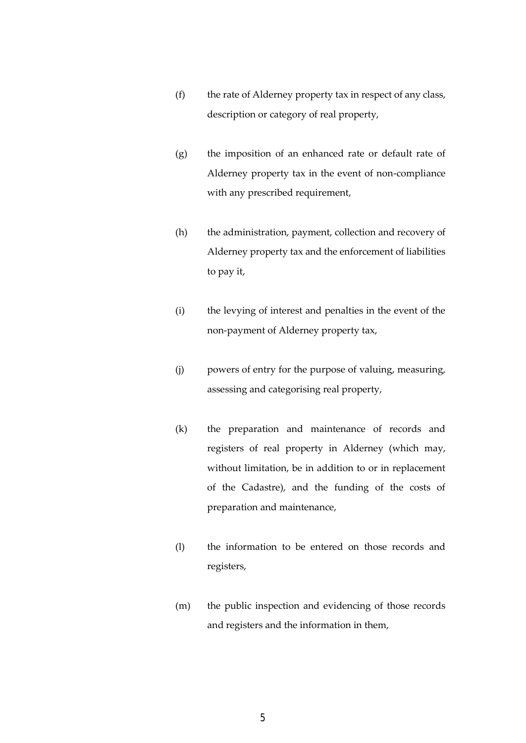- (f) the rate of Alderney property tax in respect of any class, description or category of real property,
- (g) the imposition of an enhanced rate or default rate of Alderney property tax in the event of non-compliance with any prescribed requirement,
- (h) the administration, payment, collection and recovery of Alderney property tax and the enforcement of liabilities to pay it,
- (i) the levying of interest and penalties in the event of the non-payment of Alderney property tax,
- (j) powers of entry for the purpose of valuing, measuring, assessing and categorising real property,
- (k) the preparation and maintenance of records and registers of real property in Alderney (which may, without limitation, be in addition to or in replacement of the Cadastre), and the funding of the costs of preparation and maintenance,
- (l) the information to be entered on those records and registers,
- (m) the public inspection and evidencing of those records and registers and the information in them,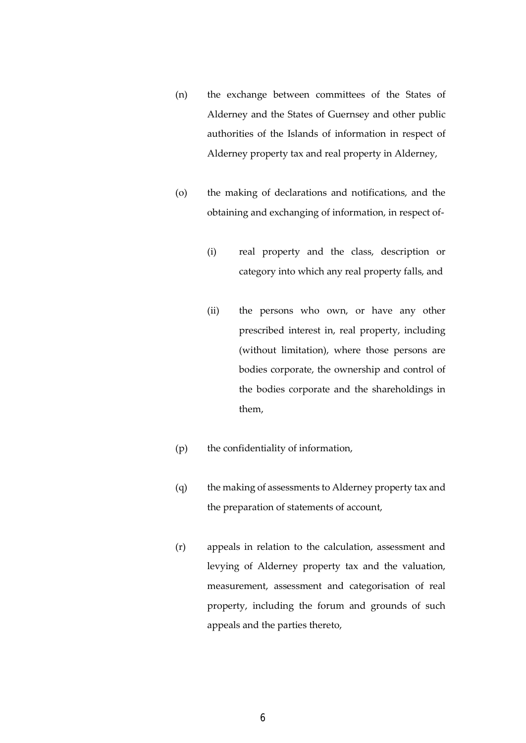- (n) the exchange between committees of the States of Alderney and the States of Guernsey and other public authorities of the Islands of information in respect of Alderney property tax and real property in Alderney,
- (o) the making of declarations and notifications, and the obtaining and exchanging of information, in respect of-
	- (i) real property and the class, description or category into which any real property falls, and
	- (ii) the persons who own, or have any other prescribed interest in, real property, including (without limitation), where those persons are bodies corporate, the ownership and control of the bodies corporate and the shareholdings in them,
- (p) the confidentiality of information,
- (q) the making of assessments to Alderney property tax and the preparation of statements of account,
- (r) appeals in relation to the calculation, assessment and levying of Alderney property tax and the valuation, measurement, assessment and categorisation of real property, including the forum and grounds of such appeals and the parties thereto,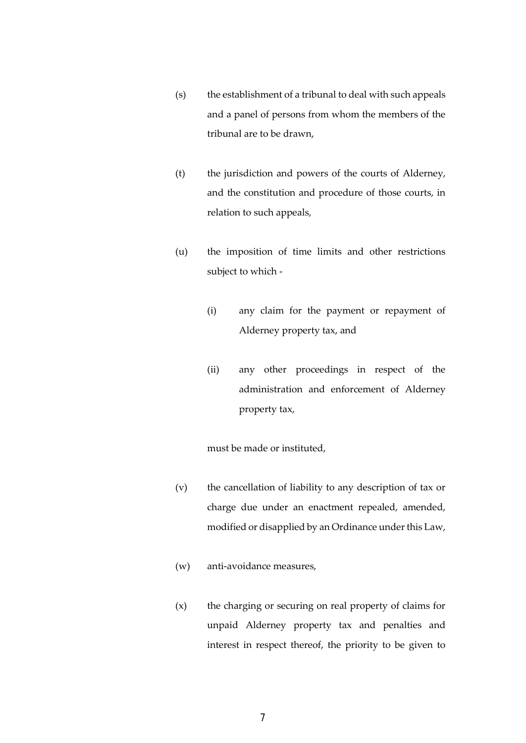- (s) the establishment of a tribunal to deal with such appeals and a panel of persons from whom the members of the tribunal are to be drawn,
- (t) the jurisdiction and powers of the courts of Alderney, and the constitution and procedure of those courts, in relation to such appeals,
- (u) the imposition of time limits and other restrictions subject to which -
	- (i) any claim for the payment or repayment of Alderney property tax, and
	- (ii) any other proceedings in respect of the administration and enforcement of Alderney property tax,

must be made or instituted,

- (v) the cancellation of liability to any description of tax or charge due under an enactment repealed, amended, modified or disapplied by an Ordinance under this Law,
- (w) anti-avoidance measures,
- (x) the charging or securing on real property of claims for unpaid Alderney property tax and penalties and interest in respect thereof, the priority to be given to

7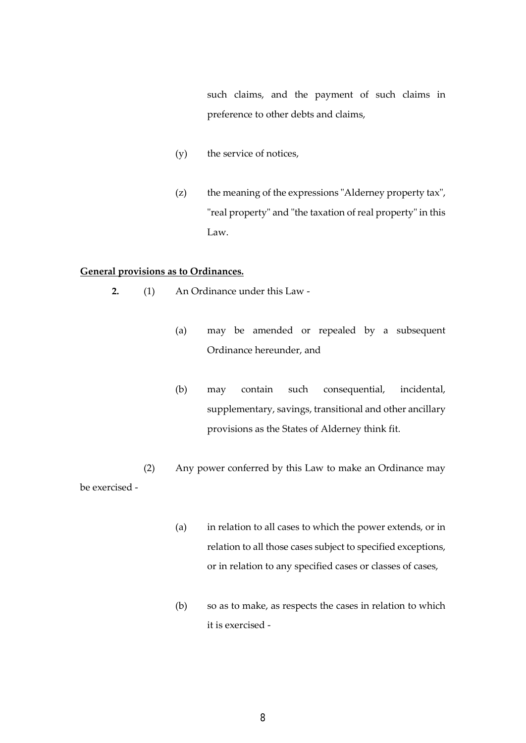such claims, and the payment of such claims in preference to other debts and claims,

- (y) the service of notices,
- (z) the meaning of the expressions "Alderney property tax", "real property" and "the taxation of real property" in this Law.

# **General provisions as to Ordinances.**

- **2.** (1) An Ordinance under this Law
	- (a) may be amended or repealed by a subsequent Ordinance hereunder, and
	- (b) may contain such consequential, incidental, supplementary, savings, transitional and other ancillary provisions as the States of Alderney think fit.

 (2) Any power conferred by this Law to make an Ordinance may be exercised -

- (a) in relation to all cases to which the power extends, or in relation to all those cases subject to specified exceptions, or in relation to any specified cases or classes of cases,
- (b) so as to make, as respects the cases in relation to which it is exercised -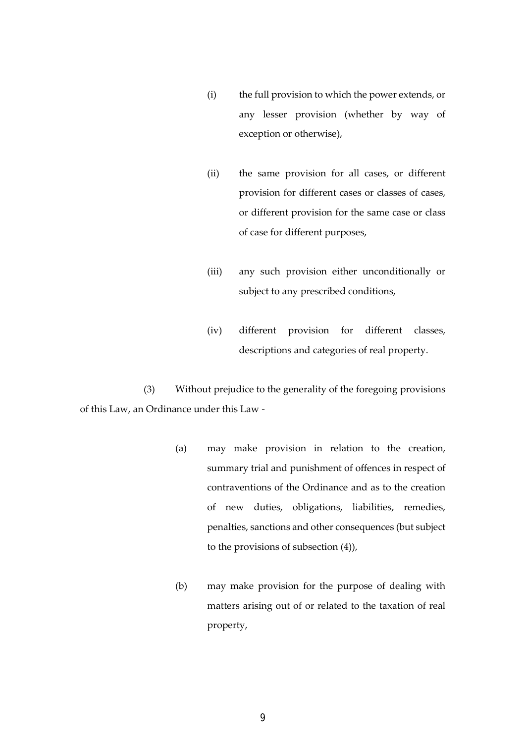- (i) the full provision to which the power extends, or any lesser provision (whether by way of exception or otherwise),
- (ii) the same provision for all cases, or different provision for different cases or classes of cases, or different provision for the same case or class of case for different purposes,
- (iii) any such provision either unconditionally or subject to any prescribed conditions,
- (iv) different provision for different classes, descriptions and categories of real property.

 (3) Without prejudice to the generality of the foregoing provisions of this Law, an Ordinance under this Law -

- (a) may make provision in relation to the creation, summary trial and punishment of offences in respect of contraventions of the Ordinance and as to the creation of new duties, obligations, liabilities, remedies, penalties, sanctions and other consequences (but subject to the provisions of subsection (4)),
- (b) may make provision for the purpose of dealing with matters arising out of or related to the taxation of real property,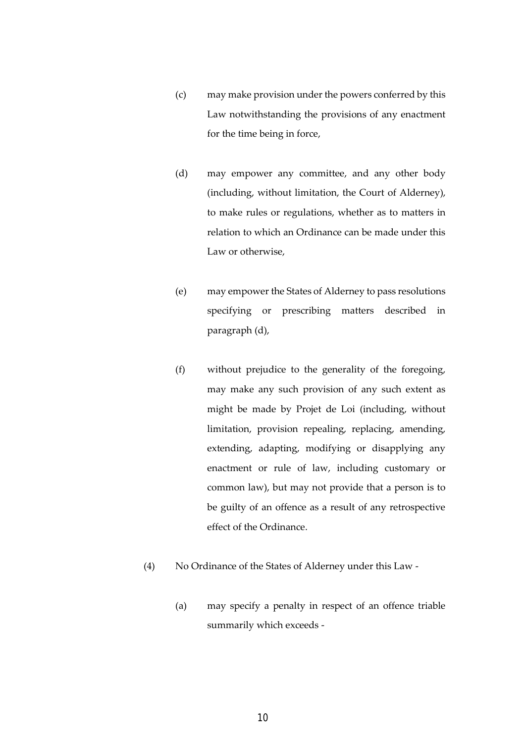- (c) may make provision under the powers conferred by this Law notwithstanding the provisions of any enactment for the time being in force,
- (d) may empower any committee, and any other body (including, without limitation, the Court of Alderney), to make rules or regulations, whether as to matters in relation to which an Ordinance can be made under this Law or otherwise,
- (e) may empower the States of Alderney to pass resolutions specifying or prescribing matters described in paragraph (d),
- (f) without prejudice to the generality of the foregoing, may make any such provision of any such extent as might be made by Projet de Loi (including, without limitation, provision repealing, replacing, amending, extending, adapting, modifying or disapplying any enactment or rule of law, including customary or common law), but may not provide that a person is to be guilty of an offence as a result of any retrospective effect of the Ordinance.
- (4) No Ordinance of the States of Alderney under this Law
	- (a) may specify a penalty in respect of an offence triable summarily which exceeds -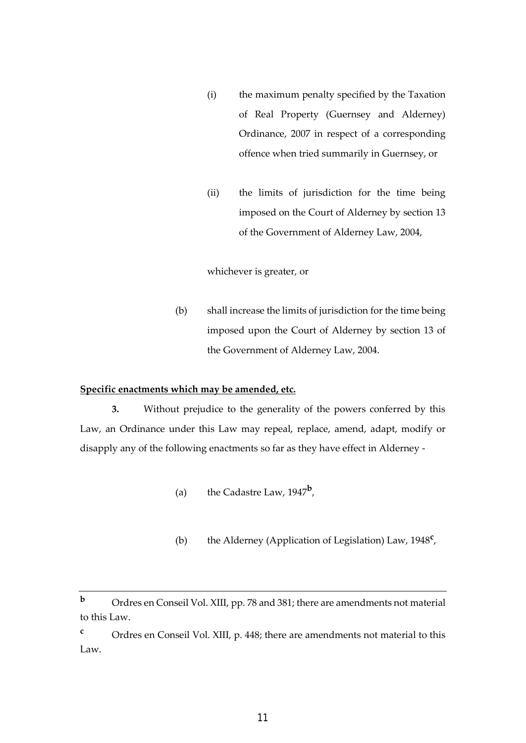- (i) the maximum penalty specified by the Taxation of Real Property (Guernsey and Alderney) Ordinance, 2007 in respect of a corresponding offence when tried summarily in Guernsey, or
- (ii) the limits of jurisdiction for the time being imposed on the Court of Alderney by section 13 of the Government of Alderney Law, 2004,

whichever is greater, or

(b) shall increase the limits of jurisdiction for the time being imposed upon the Court of Alderney by section 13 of the Government of Alderney Law, 2004.

#### **Specific enactments which may be amended, etc.**

 **3.** Without prejudice to the generality of the powers conferred by this Law, an Ordinance under this Law may repeal, replace, amend, adapt, modify or disapply any of the following enactments so far as they have effect in Alderney -

- (a) the Cadastre Law, 1947**<sup>b</sup>** ,
	- (b) the Alderney (Application of Legislation) Law, 1948**<sup>c</sup>** ,

**<sup>b</sup>** Ordres en Conseil Vol. XIII, pp. 78 and 381; there are amendments not material to this Law.

**<sup>c</sup>** Ordres en Conseil Vol. XIII, p. 448; there are amendments not material to this Law.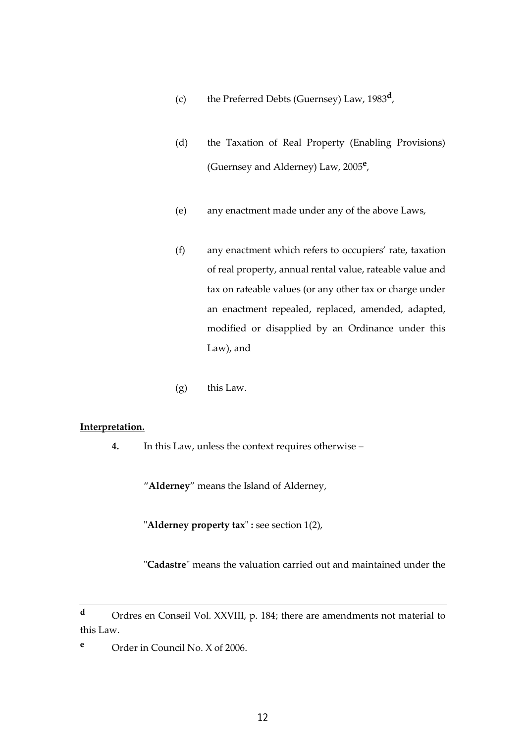- (c) the Preferred Debts (Guernsey) Law, 1983**<sup>d</sup>** ,
	- (d) the Taxation of Real Property (Enabling Provisions) (Guernsey and Alderney) Law, 2005**<sup>e</sup>** ,
	- (e) any enactment made under any of the above Laws,
	- (f) any enactment which refers to occupiers' rate, taxation of real property, annual rental value, rateable value and tax on rateable values (or any other tax or charge under an enactment repealed, replaced, amended, adapted, modified or disapplied by an Ordinance under this Law), and
	- (g) this Law.

#### **Interpretation.**

 **4.** In this Law, unless the context requires otherwise –

"**Alderney**" means the Island of Alderney,

"**Alderney property tax**" **:** see section 1(2),

"**Cadastre**" means the valuation carried out and maintained under the

**<sup>d</sup>** Ordres en Conseil Vol. XXVIII, p. 184; there are amendments not material to this Law.

**<sup>e</sup>** Order in Council No. X of 2006.